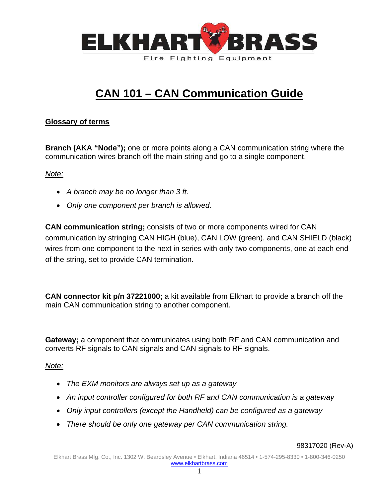

# **CAN 101 – CAN Communication Guide**

# **Glossary of terms**

**Branch (AKA "Node");** one or more points along a CAN communication string where the communication wires branch off the main string and go to a single component.

*Note;*

- *A branch may be no longer than 3 ft.*
- *Only one component per branch is allowed.*

**CAN communication string;** consists of two or more components wired for CAN communication by stringing CAN HIGH (blue), CAN LOW (green), and CAN SHIELD (black) wires from one component to the next in series with only two components, one at each end of the string, set to provide CAN termination.

**CAN connector kit p/n 37221000;** a kit available from Elkhart to provide a branch off the main CAN communication string to another component.

**Gateway;** a component that communicates using both RF and CAN communication and converts RF signals to CAN signals and CAN signals to RF signals.

# *Note;*

- *The EXM monitors are always set up as a gateway*
- *An input controller configured for both RF and CAN communication is a gateway*
- *Only input controllers (except the Handheld) can be configured as a gateway*
- *There should be only one gateway per CAN communication string.*

#### 98317020 (Rev-A)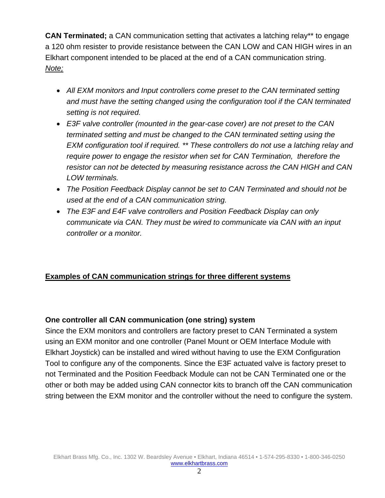**CAN Terminated;** a CAN communication setting that activates a latching relay\*\* to engage a 120 ohm resister to provide resistance between the CAN LOW and CAN HIGH wires in an Elkhart component intended to be placed at the end of a CAN communication string. *Note;*

- *All EXM monitors and Input controllers come preset to the CAN terminated setting and must have the setting changed using the configuration tool if the CAN terminated setting is not required.*
- *E3F valve controller (mounted in the gear-case cover) are not preset to the CAN terminated setting and must be changed to the CAN terminated setting using the EXM configuration tool if required. \*\* These controllers do not use a latching relay and require power to engage the resistor when set for CAN Termination, therefore the resistor can not be detected by measuring resistance across the CAN HIGH and CAN LOW terminals.*
- *The Position Feedback Display cannot be set to CAN Terminated and should not be used at the end of a CAN communication string.*
- *The E3F and E4F valve controllers and Position Feedback Display can only communicate via CAN. They must be wired to communicate via CAN with an input controller or a monitor.*

# **Examples of CAN communication strings for three different systems**

# **One controller all CAN communication (one string) system**

Since the EXM monitors and controllers are factory preset to CAN Terminated a system using an EXM monitor and one controller (Panel Mount or OEM Interface Module with Elkhart Joystick) can be installed and wired without having to use the EXM Configuration Tool to configure any of the components. Since the E3F actuated valve is factory preset to not Terminated and the Position Feedback Module can not be CAN Terminated one or the other or both may be added using CAN connector kits to branch off the CAN communication string between the EXM monitor and the controller without the need to configure the system.